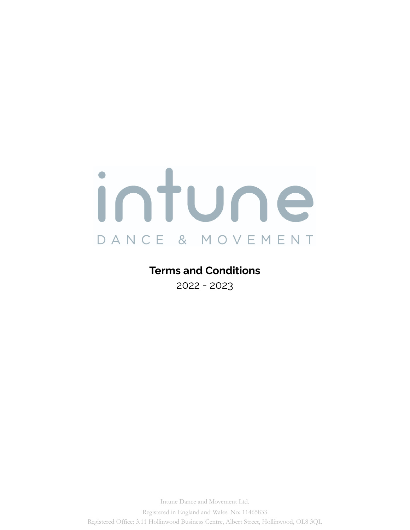# ntune O DANCE & MOVEMENT

# **Terms and Conditions**

2022 - 2023

Intune Dance and Movement Ltd. Registered in England and Wales. No: 11465833 Registered Office: 3.11 Hollinwood Business Centre, Albert Street, Hollinwood, OL8 3QL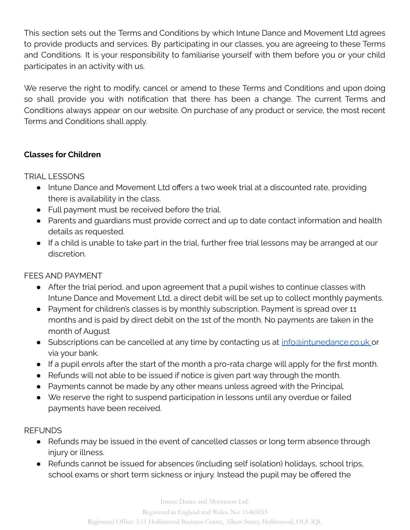This section sets out the Terms and Conditions by which Intune Dance and Movement Ltd agrees to provide products and services. By participating in our classes, you are agreeing to these Terms and Conditions. It is your responsibility to familiarise yourself with them before you or your child participates in an activity with us.

We reserve the right to modify, cancel or amend to these Terms and Conditions and upon doing so shall provide you with notification that there has been a change. The current Terms and Conditions always appear on our website. On purchase of any product or service, the most recent Terms and Conditions shall apply.

# **Classes for Children**

TRIAL LESSONS

- Intune Dance and Movement Ltd offers a two week trial at a discounted rate, providing there is availability in the class.
- Full payment must be received before the trial.
- Parents and guardians must provide correct and up to date contact information and health details as requested.
- If a child is unable to take part in the trial, further free trial lessons may be arranged at our discretion.

# FEES AND PAYMENT

- After the trial period, and upon agreement that a pupil wishes to continue classes with Intune Dance and Movement Ltd, a direct debit will be set up to collect monthly payments.
- Payment for children's classes is by monthly subscription. Payment is spread over 11 months and is paid by direct debit on the 1st of the month. No payments are taken in the month of August
- Subscriptions can be cancelled at any time by contacting us at [info@](mailto:info@thedancebarn.co.uk)intunedance.co.uk or via your bank.
- If a pupil enrols after the start of the month a pro-rata charge will apply for the first month.
- Refunds will not able to be issued if notice is given part way through the month.
- Payments cannot be made by any other means unless agreed with the Principal.
- We reserve the right to suspend participation in lessons until any overdue or failed payments have been received.

## **REFUNDS**

- Refunds may be issued in the event of cancelled classes or long term absence through injury or illness.
- Refunds cannot be issued for absences (including self isolation) holidays, school trips, school exams or short term sickness or injury. Instead the pupil may be offered the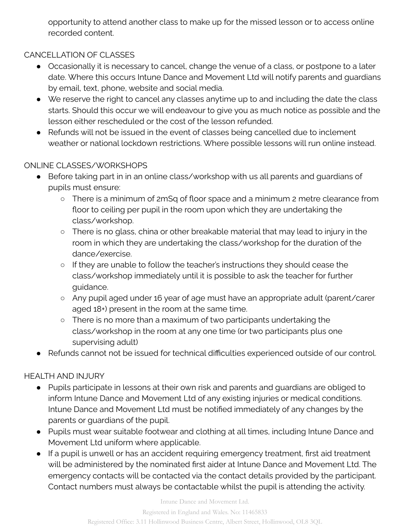opportunity to attend another class to make up for the missed lesson or to access online recorded content.

# CANCELLATION OF CLASSES

- Occasionally it is necessary to cancel, change the venue of a class, or postpone to a later date. Where this occurs Intune Dance and Movement Ltd will notify parents and guardians by email, text, phone, website and social media.
- We reserve the right to cancel any classes anytime up to and including the date the class starts. Should this occur we will endeavour to give you as much notice as possible and the lesson either rescheduled or the cost of the lesson refunded.
- Refunds will not be issued in the event of classes being cancelled due to inclement weather or national lockdown restrictions. Where possible lessons will run online instead.

#### ONLINE CLASSES/WORKSHOPS

- Before taking part in in an online class/workshop with us all parents and guardians of pupils must ensure:
	- There is a minimum of 2mSq of floor space and a minimum 2 metre clearance from floor to ceiling per pupil in the room upon which they are undertaking the class/workshop.
	- There is no glass, china or other breakable material that may lead to injury in the room in which they are undertaking the class/workshop for the duration of the dance/exercise.
	- If they are unable to follow the teacher's instructions they should cease the class/workshop immediately until it is possible to ask the teacher for further guidance.
	- Any pupil aged under 16 year of age must have an appropriate adult (parent/carer aged 18+) present in the room at the same time.
	- There is no more than a maximum of two participants undertaking the class/workshop in the room at any one time (or two participants plus one supervising adult)
- Refunds cannot not be issued for technical difficulties experienced outside of our control.

## HEALTH AND INJURY

- Pupils participate in lessons at their own risk and parents and guardians are obliged to inform Intune Dance and Movement Ltd of any existing injuries or medical conditions. Intune Dance and Movement Ltd must be notified immediately of any changes by the parents or guardians of the pupil.
- Pupils must wear suitable footwear and clothing at all times, including Intune Dance and Movement Ltd uniform where applicable.
- If a pupil is unwell or has an accident requiring emergency treatment, first aid treatment will be administered by the nominated first aider at Intune Dance and Movement Ltd. The emergency contacts will be contacted via the contact details provided by the participant. Contact numbers must always be contactable whilst the pupil is attending the activity.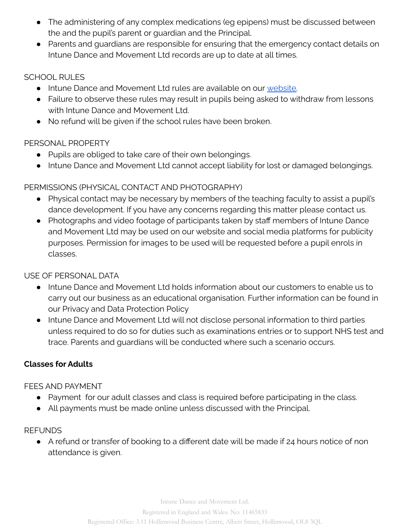- The administering of any complex medications (eg epipens) must be discussed between the and the pupil's parent or guardian and the Principal.
- Parents and guardians are responsible for ensuring that the emergency contact details on Intune Dance and Movement Ltd records are up to date at all times.

#### SCHOOL RULES

- **Intune Dance and Movement Ltd rules are available on our [website.](https://intunedance.co.uk/policies/)**
- Failure to observe these rules may result in pupils being asked to withdraw from lessons with Intune Dance and Movement Ltd.
- No refund will be given if the school rules have been broken.

## PERSONAL PROPERTY

- Pupils are obliged to take care of their own belongings.
- Intune Dance and Movement Ltd cannot accept liability for lost or damaged belongings.

## PERMISSIONS (PHYSICAL CONTACT AND PHOTOGRAPHY)

- Physical contact may be necessary by members of the teaching faculty to assist a pupil's dance development. If you have any concerns regarding this matter please contact us.
- Photographs and video footage of participants taken by staff members of Intune Dance and Movement Ltd may be used on our website and social media platforms for publicity purposes. Permission for images to be used will be requested before a pupil enrols in classes.

#### USE OF PERSONAL DATA

- Intune Dance and Movement Ltd holds information about our customers to enable us to carry out our business as an educational organisation. Further information can be found in our Privacy and Data Protection Policy
- Intune Dance and Movement Ltd will not disclose personal information to third parties unless required to do so for duties such as examinations entries or to support NHS test and trace. Parents and guardians will be conducted where such a scenario occurs.

## **Classes for Adults**

#### FEES AND PAYMENT

- Payment for our adult classes and class is required before participating in the class.
- All payments must be made online unless discussed with the Principal.

#### **REFUNDS**

● A refund or transfer of booking to a different date will be made if 24 hours notice of non attendance is given.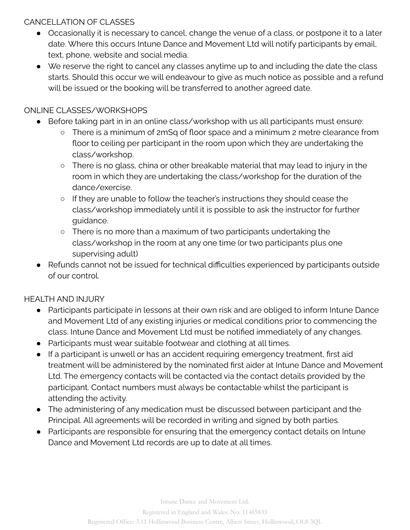# CANCELLATION OF CLASSES

- Occasionally it is necessary to cancel, change the venue of a class, or postpone it to a later date. Where this occurs Intune Dance and Movement Ltd will notify participants by email, text, phone, website and social media.
- We reserve the right to cancel any classes anytime up to and including the date the class starts. Should this occur we will endeavour to give as much notice as possible and a refund will be issued or the booking will be transferred to another agreed date.

# ONLINE CLASSES/WORKSHOPS

- Before taking part in in an online class/workshop with us all participants must ensure:
	- There is a minimum of 2mSq of floor space and a minimum 2 metre clearance from floor to ceiling per participant in the room upon which they are undertaking the class/workshop.
	- There is no glass, china or other breakable material that may lead to injury in the room in which they are undertaking the class/workshop for the duration of the dance/exercise.
	- If they are unable to follow the teacher's instructions they should cease the class/workshop immediately until it is possible to ask the instructor for further guidance.
	- There is no more than a maximum of two participants undertaking the class/workshop in the room at any one time (or two participants plus one supervising adult)
- Refunds cannot not be issued for technical difficulties experienced by participants outside of our control.

# HEALTH AND INJURY

- Participants participate in lessons at their own risk and are obliged to inform Intune Dance and Movement Ltd of any existing injuries or medical conditions prior to commencing the class. Intune Dance and Movement Ltd must be notified immediately of any changes.
- Participants must wear suitable footwear and clothing at all times.
- If a participant is unwell or has an accident requiring emergency treatment, first aid treatment will be administered by the nominated first aider at Intune Dance and Movement Ltd. The emergency contacts will be contacted via the contact details provided by the participant. Contact numbers must always be contactable whilst the participant is attending the activity.
- The administering of any medication must be discussed between participant and the Principal. All agreements will be recorded in writing and signed by both parties.
- Participants are responsible for ensuring that the emergency contact details on Intune Dance and Movement Ltd records are up to date at all times.